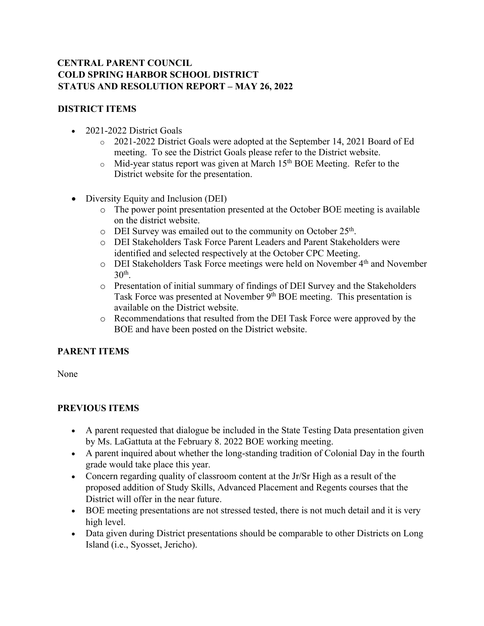## **CENTRAL PARENT COUNCIL COLD SPRING HARBOR SCHOOL DISTRICT STATUS AND RESOLUTION REPORT – MAY 26, 2022**

## **DISTRICT ITEMS**

- 2021-2022 District Goals
	- o 2021-2022 District Goals were adopted at the September 14, 2021 Board of Ed meeting. To see the District Goals please refer to the District website.
	- $\circ$  Mid-year status report was given at March 15<sup>th</sup> BOE Meeting. Refer to the District website for the presentation.
- Diversity Equity and Inclusion (DEI)
	- o The power point presentation presented at the October BOE meeting is available on the district website.
	- o DEI Survey was emailed out to the community on October 25<sup>th</sup>.
	- o DEI Stakeholders Task Force Parent Leaders and Parent Stakeholders were identified and selected respectively at the October CPC Meeting.
	- o DEI Stakeholders Task Force meetings were held on November 4th and November  $30<sup>th</sup>$ .
	- o Presentation of initial summary of findings of DEI Survey and the Stakeholders Task Force was presented at November 9<sup>th</sup> BOE meeting. This presentation is available on the District website.
	- o Recommendations that resulted from the DEI Task Force were approved by the BOE and have been posted on the District website.

## **PARENT ITEMS**

None

## **PREVIOUS ITEMS**

- A parent requested that dialogue be included in the State Testing Data presentation given by Ms. LaGattuta at the February 8. 2022 BOE working meeting.
- A parent inquired about whether the long-standing tradition of Colonial Day in the fourth grade would take place this year.
- Concern regarding quality of classroom content at the Jr/Sr High as a result of the proposed addition of Study Skills, Advanced Placement and Regents courses that the District will offer in the near future.
- BOE meeting presentations are not stressed tested, there is not much detail and it is very high level.
- Data given during District presentations should be comparable to other Districts on Long Island (i.e., Syosset, Jericho).